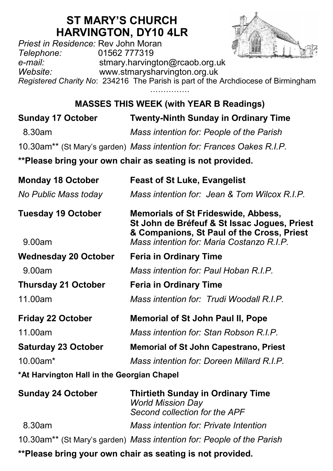# **ST MARY'S CHURCH HARVINGTON, DY10 4LR**

*Priest in Residence:* Rev John Moran *Telephone:* 01562 777319 *e-mail:* stmary.harvington@rcaob.org.uk *Website:* www.stmarysharvington.org.uk *Registered Charity No*: 234216 The Parish is part of the Archdiocese of Birmingham ……………

**MASSES THIS WEEK (with YEAR B Readings)** 

| <b>Sunday 17 October</b>                                  | <b>Twenty-Ninth Sunday in Ordinary Time</b>                                                                                              |  |
|-----------------------------------------------------------|------------------------------------------------------------------------------------------------------------------------------------------|--|
| 8.30am                                                    | Mass intention for: People of the Parish                                                                                                 |  |
|                                                           | 10.30am <sup>**</sup> (St Mary's garden) Mass intention for: Frances Oakes R.I.P.                                                        |  |
| **Please bring your own chair as seating is not provided. |                                                                                                                                          |  |
| <b>Monday 18 October</b>                                  | <b>Feast of St Luke, Evangelist</b>                                                                                                      |  |
| No Public Mass today                                      | Mass intention for: Jean & Tom Wilcox R.I.P.                                                                                             |  |
| <b>Tuesday 19 October</b>                                 | <b>Memorials of St Frideswide, Abbess,</b><br>St John de Bréfeuf & St Issac Jogues, Priest<br>& Companions, St Paul of the Cross, Priest |  |
| 9.00am                                                    | Mass intention for: Maria Costanzo R.I.P.                                                                                                |  |
| <b>Wednesday 20 October</b>                               | <b>Feria in Ordinary Time</b>                                                                                                            |  |
| 9.00am                                                    | Mass intention for: Paul Hoban R.I.P.                                                                                                    |  |

**Thursday 21 October Feria in Ordinary Time** 11.00am *Mass intention for: Trudi Woodall R.I.P.*

- **Friday 22 October Memorial of St John Paul II, Pope** 11.00am *Mass intention for: Stan Robson R.I.P.* **Saturday 23 October Memorial of St John Capestrano, Priest** 10.00am\* *Mass intention for: Doreen Millard R.I.P.*
- **\*At Harvington Hall in the Georgian Chapel**

| <b>Sunday 24 October</b> | <b>Thirtieth Sunday in Ordinary Time</b><br><b>World Mission Day</b><br>Second collection for the APF |
|--------------------------|-------------------------------------------------------------------------------------------------------|
| 8.30am                   | Mass intention for: Private Intention                                                                 |
|                          | 10.30am** (St Mary's garden) Mass intention for: People of the Parish                                 |
|                          | **Please bring your own chair as seating is not provided.                                             |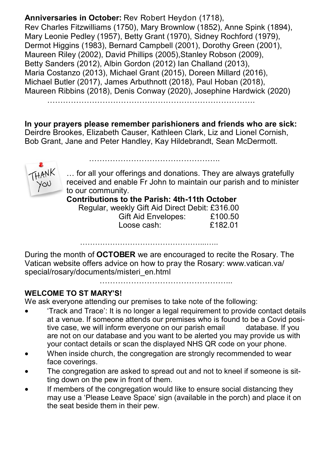**Anniversaries in October:** Rev Robert Heydon (1718), Rev Charles Fitzwilliams (1750), Mary Brownlow (1852), Anne Spink (1894), Mary Leonie Pedley (1957), Betty Grant (1970), Sidney Rochford (1979), Dermot Higgins (1983), Bernard Campbell (2001), Dorothy Green (2001), Maureen Riley (2002), David Phillips (2005), Stanley Robson (2009), Betty Sanders (2012), Albin Gordon (2012) Ian Challand (2013), Maria Costanzo (2013), Michael Grant (2015), Doreen Millard (2016), Michael Butler (2017), James Arbuthnott (2018), Paul Hoban (2018), Maureen Ribbins (2018), Denis Conway (2020), Josephine Hardwick (2020)

…………………………………………………………………….

**In your prayers please remember parishioners and friends who are sick:**  Deirdre Brookes, Elizabeth Causer, Kathleen Clark, Liz and Lionel Cornish, Bob Grant, Jane and Peter Handley, Kay Hildebrandt, Sean McDermott.

…………………………………………



… for all your offerings and donations. They are always gratefully received and enable Fr John to maintain our parish and to minister to our community.

**Contributions to the Parish: 4th-11th October**

 Regular, weekly Gift Aid Direct Debit: £316.00 Gift Aid Envelopes: £100.50 Loose cash: £182.01

…………………………………………...…..

During the month of **OCTOBER** we are encouraged to recite the Rosary. The Vatican website offers advice on how to pray the Rosary: www.vatican.va/ special/rosary/documents/misteri\_en.html

…………………………………………………

### **WELCOME TO ST MARY'S!**

We ask everyone attending our premises to take note of the following:

- 'Track and Trace': It is no longer a legal requirement to provide contact details at a venue. If someone attends our premises who is found to be a Covid positive case, we will inform everyone on our parish email database. If you are not on our database and you want to be alerted you may provide us with your contact details or scan the displayed NHS QR code on your phone.
- When inside church, the congregation are strongly recommended to wear face coverings.
- The congregation are asked to spread out and not to kneel if someone is sitting down on the pew in front of them.
- If members of the congregation would like to ensure social distancing they may use a 'Please Leave Space' sign (available in the porch) and place it on the seat beside them in their pew.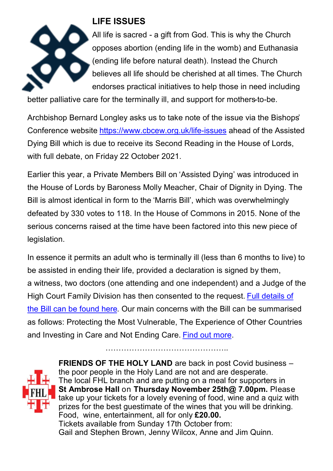

## **LIFE ISSUES**

All life is sacred - a gift from God. This is why the Church opposes abortion (ending life in the womb) and Euthanasia (ending life before natural death). Instead the Church believes all life should be cherished at all times. The Church endorses practical initiatives to help those in need including

better palliative care for the terminally ill, and support for mothers-to-be.

Archbishop Bernard Longley asks us to take note of the issue via the Bishops' Conference website [https://www.cbcew.org.uk/life](https://www.cbcew.org.uk/life-issues)-issues ahead of the Assisted Dying Bill which is due to receive its Second Reading in the House of Lords, with full debate, on Friday 22 October 2021.

Earlier this year, a Private Members Bill on 'Assisted Dying' was introduced in the House of Lords by Baroness Molly Meacher, Chair of Dignity in Dying. The Bill is almost identical in form to the 'Marris Bill', which was overwhelmingly defeated by 330 votes to 118. In the House of Commons in 2015. None of the serious concerns raised at the time have been factored into this new piece of legislation.

In essence it permits an adult who is terminally ill (less than 6 months to live) to be assisted in ending their life, provided a declaration is signed by them, a witness, two doctors (one attending and one independent) and a Judge of the High Court Family Division has then consented to the request. [Full details of](https://bills.parliament.uk/publications/41676/documents/322)  [the Bill can be found here.](https://bills.parliament.uk/publications/41676/documents/322) Our main concerns with the Bill can be summarised as follows: Protecting the Most Vulnerable, The Experience of Other Countries and Investing in Care and Not Ending Care. [Find out more.](https://www.cbcew.org.uk/home/our-work/life-issues/the-assisted-dying-bill-2021/)

………………………………………..



**FRIENDS OF THE HOLY LAND** are back in post Covid business – the poor people in the Holy Land are not and are desperate. The local FHL branch and are putting on a meal for supporters in **St Ambrose Hall** on **Thursday November 25th@ 7.00pm.** Please take up your tickets for a lovely evening of food, wine and a quiz with prizes for the best guestimate of the wines that you will be drinking. Food, wine, entertainment, all for only **£20.00.** Tickets available from Sunday 17th October from: Gail and Stephen Brown, Jenny Wilcox, Anne and Jim Quinn.